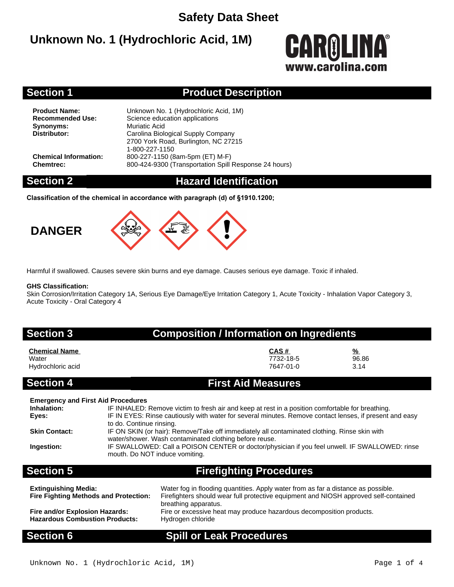### **Safety Data Sheet**

### **Unknown No. 1 (Hydrochloric Acid, 1M)**

# **CAROLINA®** www.carolina.co

### **Section 1 Product Description**

**Synonyms:** Muriatic Acid<br> **Distributor:** Carolina Biole

**Product Name:** Unknown No. 1 (Hydrochloric Acid, 1M)<br> **Recommended Use:** Science education applications **Science education applications Distributor:** Carolina Biological Supply Company 2700 York Road, Burlington, NC 27215 1-800-227-1150 **Chemical Information:** 800-227-1150 (8am-5pm (ET) M-F) **Chemtrec:** 800-424-9300 (Transportation Spill Response 24 hours)

### **Section 2 Hazard Identification**

**Classification of the chemical in accordance with paragraph (d) of §1910.1200;**





Harmful if swallowed. Causes severe skin burns and eye damage. Causes serious eye damage. Toxic if inhaled.

### **GHS Classification:**

Skin Corrosion/Irritation Category 1A, Serious Eye Damage/Eye Irritation Category 1, Acute Toxicity - Inhalation Vapor Category 3, Acute Toxicity - Oral Category 4

### **Section 3 Composition / Information on Ingredients**

| <b>Chemical Name</b> | CAS#      | $\frac{9}{6}$ |
|----------------------|-----------|---------------|
| Water                | 7732-18-5 | 96.86         |
| Hydrochloric acid    | 7647-01-0 | 3.14          |

### **Section 4 First Aid Measures**

| <b>Cootion E</b>                          | Eirefiablina Droopalusoo                                                                                                 |
|-------------------------------------------|--------------------------------------------------------------------------------------------------------------------------|
|                                           | mouth. Do NOT induce vomiting.                                                                                           |
| Ingestion:                                | IF SWALLOWED: Call a POISON CENTER or doctor/physician if you feel unwell. IF SWALLOWED: rinse                           |
|                                           | water/shower. Wash contaminated clothing before reuse.                                                                   |
| <b>Skin Contact:</b>                      | to do. Continue rinsing.<br>IF ON SKIN (or hair): Remove/Take off immediately all contaminated clothing. Rinse skin with |
| Eyes:                                     | IF IN EYES: Rinse cautiously with water for several minutes. Remove contact lenses, if present and easy                  |
| Inhalation:                               | IF INHALED: Remove victim to fresh air and keep at rest in a position comfortable for breathing.                         |
| <b>Emergency and First Aid Procedures</b> |                                                                                                                          |
|                                           |                                                                                                                          |

### **Section 5 Firefighting Procedures**

| <b>Extinguishing Media:</b><br><b>Fire Fighting Methods and Protection:</b> | Water fog in flooding quantities. Apply water from as far a distance as possible.<br>Firefighters should wear full protective equipment and NIOSH approved self-contained<br>breathing apparatus. |
|-----------------------------------------------------------------------------|---------------------------------------------------------------------------------------------------------------------------------------------------------------------------------------------------|
| Fire and/or Explosion Hazards:                                              | Fire or excessive heat may produce hazardous decomposition products.                                                                                                                              |
| <b>Hazardous Combustion Products:</b>                                       | Hydrogen chloride                                                                                                                                                                                 |

### **Section 6 Spill or Leak Procedures**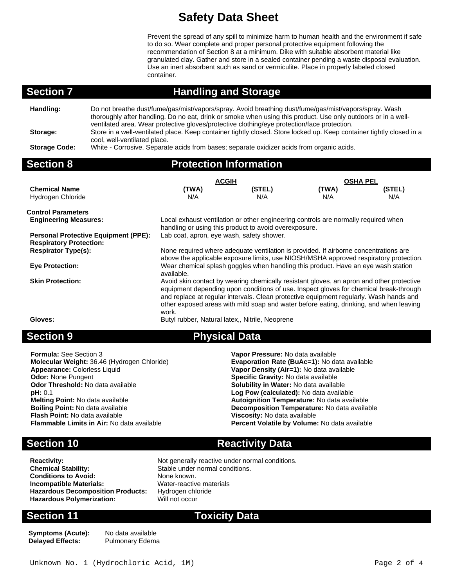## **Safety Data Sheet**

Prevent the spread of any spill to minimize harm to human health and the environment if safe to do so. Wear complete and proper personal protective equipment following the recommendation of Section 8 at a minimum. Dike with suitable absorbent material like granulated clay. Gather and store in a sealed container pending a waste disposal evaluation. Use an inert absorbent such as sand or vermiculite. Place in properly labeled closed container.

above the applicable exposure limits, use NIOSH/MSHA approved respiratory protection.

equipment depending upon conditions of use. Inspect gloves for chemical break-through and replace at regular intervals. Clean protective equipment regularly. Wash hands and other exposed areas with mild soap and water before eating, drinking, and when leaving

**Evaporation Rate (BuAc=1):** No data available

**Melting Point:** No data available **Autoignition Temperature:** No data available

Percent Volatile by Volume: No data available

### **Section 7 Handling and Storage**

| Handling:            | Do not breathe dust/fume/gas/mist/vapors/spray. Avoid breathing dust/fume/gas/mist/vapors/spray. Wash<br>thoroughly after handling. Do no eat, drink or smoke when using this product. Use only outdoors or in a well-<br>ventilated area. Wear protective gloves/protective clothing/eye protection/face protection. |
|----------------------|-----------------------------------------------------------------------------------------------------------------------------------------------------------------------------------------------------------------------------------------------------------------------------------------------------------------------|
| Storage:             | Store in a well-ventilated place. Keep container tightly closed. Store locked up. Keep container tightly closed in a<br>cool, well-ventilated place.                                                                                                                                                                  |
| <b>Storage Code:</b> | White - Corrosive. Separate acids from bases; separate oxidizer acids from organic acids.                                                                                                                                                                                                                             |

### **Section 8**

| <b>Protection Information</b> |  |  |
|-------------------------------|--|--|
|                               |  |  |

available.

work.

|                                                           |                                                       | <b>ACGIH</b>                                                                       |              | <b>OSHA PEL</b> |  |  |
|-----------------------------------------------------------|-------------------------------------------------------|------------------------------------------------------------------------------------|--------------|-----------------|--|--|
| <b>Chemical Name</b><br>Hydrogen Chloride                 | (TWA)<br>N/A                                          | (STEL)<br>N/A                                                                      | (TWA)<br>N/A | (STEL)<br>N/A   |  |  |
| <b>Control Parameters</b><br><b>Engineering Measures:</b> | handling or using this product to avoid overexposure. | Local exhaust ventilation or other engineering controls are normally required when |              |                 |  |  |

**Personal Protective Equipment (PPE):** Lab coat, apron, eye wash, safety shower. **Respiratory Protection: Respirator Type(s):** None required where adequate ventilation is provided. If airborne concentrations are

**Eye Protection:** Wear chemical splash goggles when handling this product. Have an eye wash station

**Skin Protection: Avoid skin contact by wearing chemically resistant gloves, an apron and other protective** 

**Gloves:** Butyl rubber, Natural latex,, Nitrile, Neoprene

### **Section 9 Physical Data**

**Formula:** See Section 3 **Vapor Pressure:** No data available **Appearance:** Colorless Liquid **Vapor Density (Air=1):** No data available **Odor:** None Pungent **Specific Gravity:** No data available **Odor Threshold:** No data available **Solubility in Water:** No data available **pH**: 0.1 **pH:** 0.1 **Log Pow (calculated):** No data available **Boiling Point:** No data available **Decomposition Temperature:** No data available **Flash Point:** No data available **Flash Point:** No data available **Flash Point:** No data available **Viscosity:** No data available

### **Section 10 <b>Reactivity Data**

**Conditions to Avoid: Incompatible Materials:** Water-reactive materials **Hazardous Decomposition Products:** Hydrogen chloride<br> **Hazardous Polymerization:** Will not occur **Hazardous Polymerization:** 

**Reactivity:** Not generally reactive under normal conditions.<br> **Chemical Stability:** Stable under normal conditions. Stable under normal conditions.<br>None known.

**Symptoms (Acute):** No data available **Delayed Effects:** 

### **Section 11 Toxicity Data**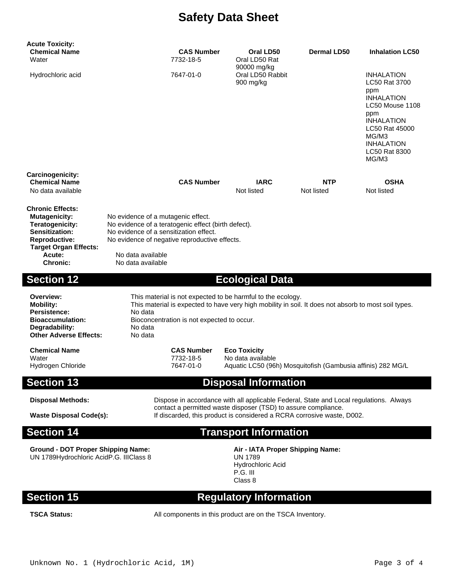## **Safety Data Sheet**

| <b>Acute Toxicity:</b><br><b>Chemical Name</b><br>Water                                                                                             |                                                                                                                                                                                      | <b>CAS Number</b><br>7732-18-5              | Oral LD50<br>Oral LD50 Rat                                                                                                                                                                                                         | <b>Dermal LD50</b>       | <b>Inhalation LC50</b>                                                                                                                                                                  |
|-----------------------------------------------------------------------------------------------------------------------------------------------------|--------------------------------------------------------------------------------------------------------------------------------------------------------------------------------------|---------------------------------------------|------------------------------------------------------------------------------------------------------------------------------------------------------------------------------------------------------------------------------------|--------------------------|-----------------------------------------------------------------------------------------------------------------------------------------------------------------------------------------|
| Hydrochloric acid                                                                                                                                   |                                                                                                                                                                                      | 7647-01-0                                   | 90000 mg/kg<br>Oral LD50 Rabbit<br>900 mg/kg                                                                                                                                                                                       |                          | <b>INHALATION</b><br>LC50 Rat 3700<br>ppm<br><b>INHALATION</b><br>LC50 Mouse 1108<br>ppm<br><b>INHALATION</b><br>LC50 Rat 45000<br>MG/M3<br><b>INHALATION</b><br>LC50 Rat 8300<br>MG/M3 |
| Carcinogenicity:<br><b>Chemical Name</b><br>No data available                                                                                       |                                                                                                                                                                                      | <b>CAS Number</b>                           | <b>IARC</b><br>Not listed                                                                                                                                                                                                          | <b>NTP</b><br>Not listed | <b>OSHA</b><br>Not listed                                                                                                                                                               |
| <b>Chronic Effects:</b><br><b>Mutagenicity:</b><br>Teratogenicity:<br><b>Sensitization:</b><br><b>Reproductive:</b><br><b>Target Organ Effects:</b> | No evidence of a mutagenic effect.<br>No evidence of a teratogenic effect (birth defect).<br>No evidence of a sensitization effect.<br>No evidence of negative reproductive effects. |                                             |                                                                                                                                                                                                                                    |                          |                                                                                                                                                                                         |
| Acute:<br><b>Chronic:</b>                                                                                                                           | No data available<br>No data available                                                                                                                                               |                                             |                                                                                                                                                                                                                                    |                          |                                                                                                                                                                                         |
| <b>Section 12</b>                                                                                                                                   |                                                                                                                                                                                      |                                             | <b>Ecological Data</b>                                                                                                                                                                                                             |                          |                                                                                                                                                                                         |
| Overview:<br><b>Mobility:</b><br><b>Persistence:</b><br><b>Bioaccumulation:</b><br>Degradability:<br><b>Other Adverse Effects:</b>                  | No data<br>No data<br>No data                                                                                                                                                        | Bioconcentration is not expected to occur.  | This material is not expected to be harmful to the ecology.<br>This material is expected to have very high mobility in soil. It does not absorb to most soil types.                                                                |                          |                                                                                                                                                                                         |
| <b>Chemical Name</b><br>Water<br>Hydrogen Chloride                                                                                                  |                                                                                                                                                                                      | <b>CAS Number</b><br>7732-18-5<br>7647-01-0 | <b>Eco Toxicity</b><br>No data available<br>Aquatic LC50 (96h) Mosquitofish (Gambusia affinis) 282 MG/L                                                                                                                            |                          |                                                                                                                                                                                         |
| <b>Section 13</b>                                                                                                                                   |                                                                                                                                                                                      |                                             | <b>Disposal Information</b>                                                                                                                                                                                                        |                          |                                                                                                                                                                                         |
| <b>Disposal Methods:</b><br><b>Waste Disposal Code(s):</b>                                                                                          |                                                                                                                                                                                      |                                             | Dispose in accordance with all applicable Federal, State and Local regulations. Always<br>contact a permitted waste disposer (TSD) to assure compliance.<br>If discarded, this product is considered a RCRA corrosive waste, D002. |                          |                                                                                                                                                                                         |
| <b>Section 14</b>                                                                                                                                   |                                                                                                                                                                                      |                                             | <b>Transport Information</b>                                                                                                                                                                                                       |                          |                                                                                                                                                                                         |
| <b>Ground - DOT Proper Shipping Name:</b><br>UN 1789Hydrochloric AcidP.G. IIIClass 8                                                                |                                                                                                                                                                                      |                                             | Air - IATA Proper Shipping Name:<br><b>UN 1789</b><br>Hydrochloric Acid<br>P.G. III<br>Class 8                                                                                                                                     |                          |                                                                                                                                                                                         |
| <b>Section 15</b>                                                                                                                                   |                                                                                                                                                                                      |                                             | <b>Regulatory Information</b>                                                                                                                                                                                                      |                          |                                                                                                                                                                                         |
| <b>TSCA Status:</b>                                                                                                                                 |                                                                                                                                                                                      |                                             | All components in this product are on the TSCA Inventory.                                                                                                                                                                          |                          |                                                                                                                                                                                         |